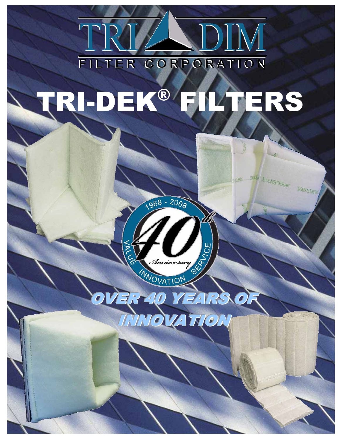

# TRI-DEK® FILTERS



**WANGTES** 



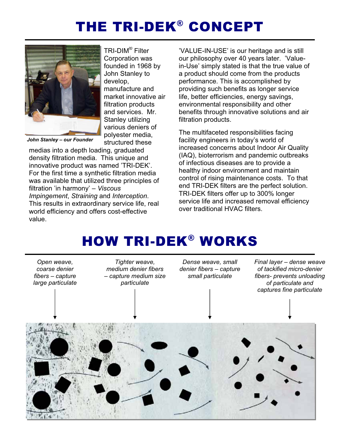# THE TRI-DEK® CONCEPT



TRI-DIM® Filter Corporation was founded in 1968 by John Stanley to develop, manufacture and market innovative air filtration products and services. Mr. Stanley utilizing various deniers of polyester media, structured these

*John Stanley – our Founder* 

medias into a depth loading, graduated density filtration media. This unique and innovative product was named 'TRI-DEK'. For the first time a synthetic filtration media was available that utilized three principles of filtration 'in harmony' – *Viscous Impingement*, *Straining* and *Interception*. This results in extraordinary service life, real world efficiency and offers cost-effective value.

-VALUE-IN-USE' is our heritage and is still our philosophy over 40 years later. 'Valuein-Use' simply stated is that the true value of a product should come from the products performance. This is accomplished by providing such benefits as longer service life, better efficiencies, energy savings, environmental responsibility and other benefits through innovative solutions and air filtration products.

The multifaceted responsibilities facing facility engineers in today's world of increased concerns about Indoor Air Quality (IAQ), bioterrorism and pandemic outbreaks of infectious diseases are to provide a healthy indoor environment and maintain control of rising maintenance costs. To that end TRI-DEK filters are the perfect solution. TRI-DEK filters offer up to 300% longer service life and increased removal efficiency over traditional HVAC filters.

# HOW TRI-DEK® WORKS

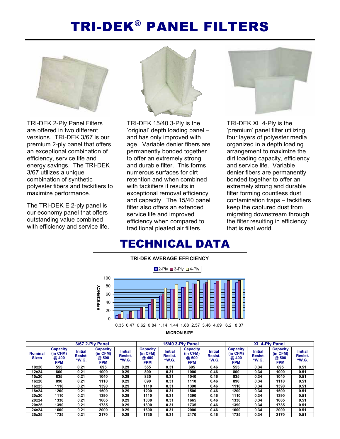# TRI-DEK® PANEL FILTERS



TRI-DEK 2-Ply Panel Filters are offered in two different versions. TRI-DEK 3/67 is our premium 2-ply panel that offers an exceptional combination of efficiency, service life and energy savings. The TRI-DEK 3/67 utilizes a unique combination of synthetic polyester fibers and tackifiers to maximize performance.

The TRI-DEK E 2-ply panel is our economy panel that offers outstanding value combined with efficiency and service life.



TRI-DEK 15/40 3-Ply is the -original' depth loading panel – and has only improved with age. Variable denier fibers are permanently bonded together to offer an extremely strong and durable filter. This forms numerous surfaces for dirt retention and when combined with tackifiers it results in exceptional removal efficiency and capacity. The 15/40 panel filter also offers an extended service life and improved efficiency when compared to traditional pleated air filters.



TRI-DEK XL 4-Ply is the -premium' panel filter utilizing four layers of polyester media organized in a depth loading arrangement to maximize the dirt loading capacity, efficiency and service life. Variable denier fibers are permanently bonded together to offer an extremely strong and durable filter forming countless dust contamination traps – tackifiers keep the captured dust from migrating downstream through the filter resulting in efficiency that is real world.



|                                | 3/67 2-Ply Panel                                  |                                    |                                                    |                                    | <b>15/40 3-Ply Panel</b>                   |                                    |                                                    |                                    | <b>XL 4-Plv Panel</b>                              |                                    |                                             |                                    |
|--------------------------------|---------------------------------------------------|------------------------------------|----------------------------------------------------|------------------------------------|--------------------------------------------|------------------------------------|----------------------------------------------------|------------------------------------|----------------------------------------------------|------------------------------------|---------------------------------------------|------------------------------------|
| <b>Nominal</b><br><b>Sizes</b> | <b>Capacity</b><br>(in CFM)<br>@400<br><b>FPM</b> | <b>Initial</b><br>Resist.<br>"W.G. | <b>Capacity</b><br>(in CFM)<br>@ 500<br><b>FPM</b> | <b>Initial</b><br>Resist.<br>"W.G. | <b>Capacity</b><br>(in CFM)<br>@400<br>FPM | <b>Initial</b><br>Resist.<br>"W.G. | <b>Capacity</b><br>(in CFM)<br>@ 500<br><b>FPM</b> | <b>Initial</b><br>Resist.<br>"W.G. | <b>Capacity</b><br>(in CFM)<br>@ 400<br><b>FPM</b> | <b>Initial</b><br>Resist.<br>"W.G. | Capacity<br>(in CFM)<br>@ 500<br><b>FPM</b> | <b>Initial</b><br>Resist.<br>"W.G. |
| 10x20                          | 555                                               | 0.21                               | 695                                                | 0.29                               | 555                                        | 0.31                               | 695                                                | 0.46                               | 555                                                | 0.34                               | 695                                         | 0.51                               |
| 12x24                          | 800                                               | 0.21                               | 1000                                               | 0.29                               | 800                                        | 0.31                               | 1000                                               | 0.46                               | 800                                                | 0.34                               | 1000                                        | 0.51                               |
| 15x20                          | 835                                               | 0.21                               | 1040                                               | 0.29                               | 835                                        | 0.31                               | 1040                                               | 0.46                               | 835                                                | 0.34                               | 1040                                        | 0.51                               |
| 16x20                          | 890                                               | 0.21                               | 1110                                               | 0.29                               | 890                                        | 0.31                               | 1110                                               | 0.46                               | 890                                                | 0.34                               | 1110                                        | 0.51                               |
| 16x25                          | 1110                                              | 0.21                               | 1390                                               | 0.29                               | 1110                                       | 0.31                               | 1390                                               | 0.46                               | 1110                                               | 0.34                               | 1390                                        | 0.51                               |
| 18x24                          | 1200                                              | 0.21                               | 1500                                               | 0.29                               | 1200                                       | 0.31                               | 1500                                               | 0.46                               | 1200                                               | 0.34                               | 1500                                        | 0.51                               |
| 20x20                          | 1110                                              | 0.21                               | 1390                                               | 0.29                               | 1110                                       | 0.31                               | 1390                                               | 0.46                               | 1110                                               | 0.34                               | 1390                                        | 0.51                               |
| 20x24                          | 1330                                              | 0.21                               | 1665                                               | 0.29                               | 1330                                       | 0.31                               | 1665                                               | 0.46                               | 1330                                               | 0.34                               | 1665                                        | 0.51                               |
| 20x25                          | 1390                                              | 0.21                               | 1735                                               | 0.29                               | 1390                                       | 0.31                               | 1735                                               | 0.46                               | 1390                                               | 0.34                               | 1735                                        | 0.51                               |
| 24x24                          | 1600                                              | 0.21                               | 2000                                               | 0.29                               | 1600                                       | 0.31                               | 2000                                               | 0.46                               | 1600                                               | 0.34                               | 2000                                        | 0.51                               |
| 25x25                          | 1735                                              | 0.21                               | 2170                                               | 0.29                               | 1735                                       | 0.31                               | 2170                                               | 0.46                               | 1735                                               | 0.34                               | 2170                                        | 0.51                               |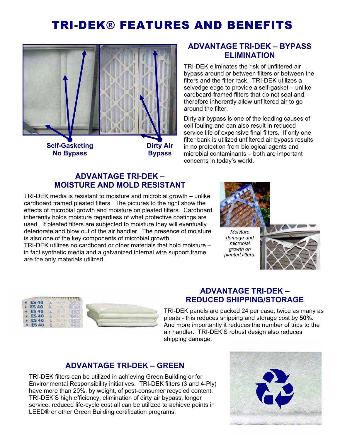# TRI-DEK® FEATURES AND BENEFITS



**Self-Gasketing No Bypass** 

**Dirty Air** 

**Bypass**

#### **ADVANTAGE TRI-DEK - BYPASS ELIMINATION**

**TRI-DEK eliminates the risk of unfiltered air** bypass around or between filters or between the filters and the filter rack. TRI-DEK utilizes a selvedge edge to provide a self-gasket – unlike cardboard-framed filters that do not seal and therefore inherently allow unfiltered air to go around the filter.

Dirty air bypass is one of the leading causes of coil fouling and can also result in reduced service life of expensive final filters. If only one filter bank is utilized unfiltered air bypass results in no protection from biological agents and microbial contaminants – both are important concerns in today's world.

#### **ADVANTAGE TRI-DEK -MOISTURE AND MOLD RESISTANT**

**TRI-DEK media is resistant to moisture and microbial growth – unlike** cardboard framed pleated filters. The pictures to the right show the effects of microbial growth and moisture on pleated filters. Cardboard inherently holds moisture regardless of what protective coatings are used. If pleated filters are subjected to moisture they will eventually deteriorate and blow out of the air handler. The presence of moisture is also one of the key components of microbial growth.

TRI-DEK utilizes no cardboard or other materials that hold moisture – in fact synthetic media and a galvanized internal wire support frame are the only materials utilized.





# **ADVANTAGE TRI-DEK -REDUCED SHIPPING/STORAGE**

**TRI-DEK panels are packed 24 per case, twice as many as** pleats - this reduces shipping and storage cost by **50%**. And more importantly it reduces the number of trips to the air handler. TRI-DEK'S robust design also reduces shipping damage.

#### **ADVANTAGE TRI-DEK - GREEN**

**TRI-DEK filters can be utilized in achieving Green Building or for** Environmental Responsibility initiatives. TRI-DEK filters (3 and 4-Ply) have more than 20%, by weight, of post-consumer recycled content. TRI-DEK'S high efficiency, elimination of dirty air bypass, longer service, reduced life-cycle cost all can be utilized to achieve points in LEED® or other Green Building certification programs.

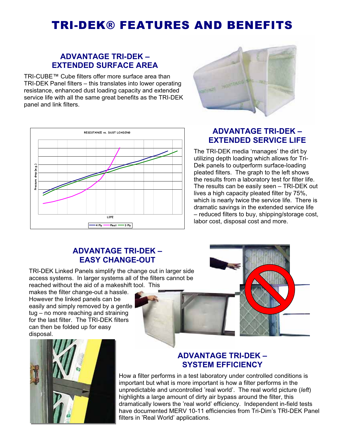# TRI-DEK® FEATURES AND BENEFITS

#### **ADVANTAGE TRI-DEK -EXTENDED SURFACE AREA**

TRI-CUBE™ Cube filters offer more surface area than TRI-DEK Panel filters – this translates into lower operating resistance, enhanced dust loading capacity and extended service life with all the same great benefits as the TRI-DEK panel and link filters.





#### **ADVANTAGE TRI-DEK -EXTENDED SERVICE LIFE**

**The TRI-DEK media 'manages' the dirt by** utilizing depth loading which allows for Tri-Dek panels to outperform surface-loading pleated filters. The graph to the left shows the results from a laboratory test for filter life. The results can be easily seen – TRI-DEK out lives a high capacity pleated filter by 75%, which is nearly twice the service life. There is dramatic savings in the extended service life – reduced filters to buy, shipping/storage cost, labor cost, disposal cost and more.

### **ADVANTAGE TRI-DEK -EASY CHANGE-OUT**

**TRI-DEK Linked Panels simplify the change out in larger side** access systems. In larger systems all of the filters cannot be reached without the aid of a makeshift tool. This

makes the filter change-out a hassle. However the linked panels can be easily and simply removed by a gentle tug – no more reaching and straining for the last filter. The TRI-DEK filters can then be folded up for easy disposal.



# **ADVANTAGE TRI-DEK -ADVANTEM EFFICIENCY**

**How a filter performs in a test laboratory under controlled conditions is** important but what is more important is how a filter performs in the unpredictable and uncontrolled 'real world'. The real world picture (*left*) highlights a large amount of dirty air bypass around the filter, this dramatically lowers the 'real world' efficiency. Independent in-field tests have documented MERV 10-11 efficiencies from Tri-Dim's TRI-DEK Panel filters in 'Real World' applications.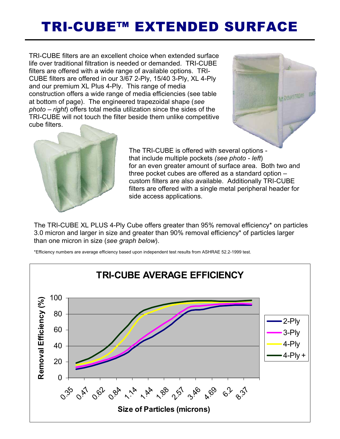# TRI-CUBE™ EXTENDED SURFACE

TRI-CUBE filters are an excellent choice when extended surface life over traditional filtration is needed or demanded. TRI-CUBE filters are offered with a wide range of available options. TRI-CUBE filters are offered in our 3/67 2-Ply, 15/40 3-Ply, XL 4-Ply and our premium XL Plus 4-Ply. This range of media construction offers a wide range of media efficiencies (see table at bottom of page). The engineered trapezoidal shape (*see photo – right*) offers total media utilization since the sides of the TRI-CUBE will not touch the filter beside them unlike competitive cube filters.





The TRI-CUBE is offered with several options that include multiple pockets *(see photo - left*) for an even greater amount of surface area. Both two and three pocket cubes are offered as a standard option – custom filters are also available. Additionally TRI-CUBE filters are offered with a single metal peripheral header for side access applications.

The TRI-CUBE XL PLUS 4-Ply Cube offers greater than 95% removal efficiency\* on particles 3.0 micron and larger in size and greater than 90% removal efficiency\* of particles larger than one micron in size (*see graph below*).



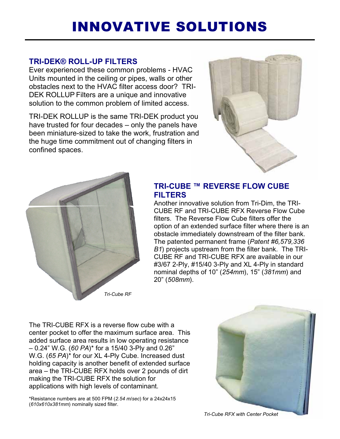# INNOVATIVE SOLUTIONS

# **TRI-DEK® ROLL-UP FILTERS**

Ever experienced these common problems - HVAC Units mounted in the ceiling or pipes, walls or other obstacles next to the HVAC filter access door? TRI-DEK ROLLUP Filters are a unique and innovative solution to the common problem of limited access.

TRI-DEK ROLLUP is the same TRI-DEK product you have trusted for four decades – only the panels have been miniature-sized to take the work, frustration and the huge time commitment out of changing filters in confined spaces.





### **TRI-CUBE ™ REVERSE FLOW CUBE FILTERS**

Another innovative solution from Tri-Dim, the TRI-CUBE RF and TRI-CUBE RFX Reverse Flow Cube filters. The Reverse Flow Cube filters offer the option of an extended surface filter where there is an obstacle immediately downstream of the filter bank. The patented permanent frame (*Patent #6,579,336 B1*) projects upstream from the filter bank. The TRI-CUBE RF and TRI-CUBE RFX are available in our #3/67 2-Ply, #15/40 3-Ply and XL 4-Ply in standard nominal depths of 10" (*254mm*), 15" (*381mm*) and 20" (*508mm*).

The TRI-CUBE RFX is a reverse flow cube with a center pocket to offer the maximum surface area. This added surface area results in low operating resistance – 0.24" W.G. (*60 PA*)\* for a 15/40 3-Ply and 0.26" W.G. (*65 PA*)\* for our XL 4-Ply Cube. Increased dust holding capacity is another benefit of extended surface area – the TRI-CUBE RFX holds over 2 pounds of dirt making the TRI-CUBE RFX the solution for applications with high levels of contaminant.

\*Resistance numbers are at 500 FPM (*2.54 m/sec*) for a 24x24x15 (*610x610x381mm*) nominally sized filter.